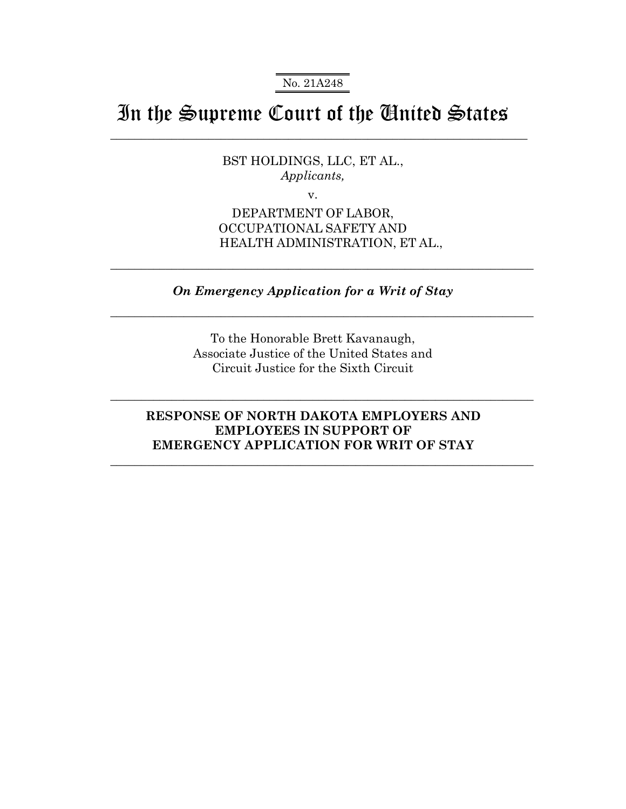No. 21A248

# In the Supreme Court of the United States

 $\_$  , and the set of the set of the set of the set of the set of the set of the set of the set of the set of the set of the set of the set of the set of the set of the set of the set of the set of the set of the set of th

BST HOLDINGS, LLC, ET AL., *Applicants,*

v.

DEPARTMENT OF LABOR, OCCUPATIONAL SAFETY AND HEALTH ADMINISTRATION, ET AL.,

*On Emergency Application for a Writ of Stay* 

 $\_$  , and the set of the set of the set of the set of the set of the set of the set of the set of the set of the set of the set of the set of the set of the set of the set of the set of the set of the set of the set of th

 $\_$  , and the set of the set of the set of the set of the set of the set of the set of the set of the set of the set of the set of the set of the set of the set of the set of the set of the set of the set of the set of th

To the Honorable Brett Kavanaugh, Associate Justice of the United States and Circuit Justice for the Sixth Circuit

### **RESPONSE OF NORTH DAKOTA EMPLOYERS AND EMPLOYEES IN SUPPORT OF EMERGENCY APPLICATION FOR WRIT OF STAY**

 $\mathcal{L}_\mathcal{L}$  , and the contribution of the contribution of the contribution of the contribution of the contribution of the contribution of the contribution of the contribution of the contribution of the contribution of

 $\mathcal{L}_\mathcal{L}$  , and the contribution of the contribution of the contribution of the contribution of the contribution of the contribution of the contribution of the contribution of the contribution of the contribution of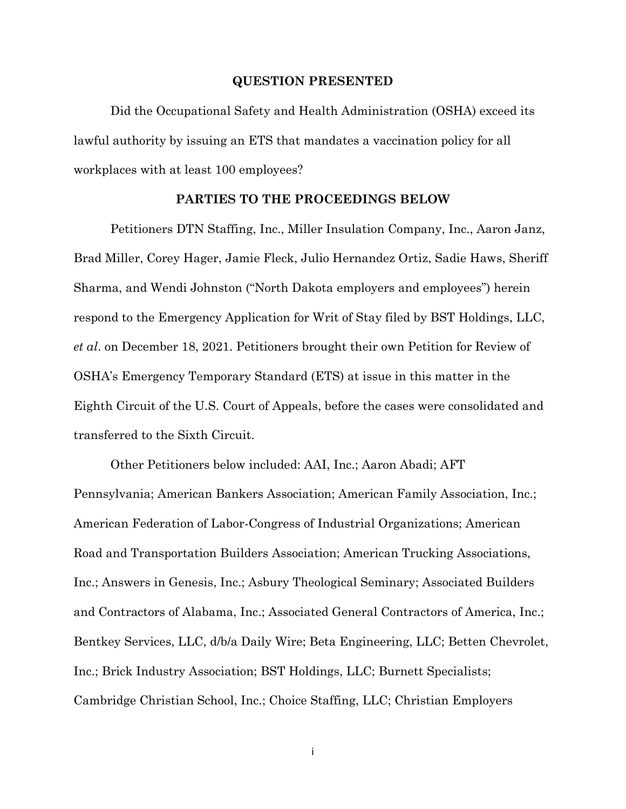#### **QUESTION PRESENTED**

Did the Occupational Safety and Health Administration (OSHA) exceed its lawful authority by issuing an ETS that mandates a vaccination policy for all workplaces with at least 100 employees?

#### **PARTIES TO THE PROCEEDINGS BELOW**

Petitioners DTN Staffing, Inc., Miller Insulation Company, Inc., Aaron Janz, Brad Miller, Corey Hager, Jamie Fleck, Julio Hernandez Ortiz, Sadie Haws, Sheriff Sharma, and Wendi Johnston ("North Dakota employers and employees") herein respond to the Emergency Application for Writ of Stay filed by BST Holdings, LLC, *et al*. on December 18, 2021. Petitioners brought their own Petition for Review of OSHA's Emergency Temporary Standard (ETS) at issue in this matter in the Eighth Circuit of the U.S. Court of Appeals, before the cases were consolidated and transferred to the Sixth Circuit.

Other Petitioners below included: AAI, Inc.; Aaron Abadi; AFT Pennsylvania; American Bankers Association; American Family Association, Inc.; American Federation of Labor-Congress of Industrial Organizations; American Road and Transportation Builders Association; American Trucking Associations, Inc.; Answers in Genesis, Inc.; Asbury Theological Seminary; Associated Builders and Contractors of Alabama, Inc.; Associated General Contractors of America, Inc.; Bentkey Services, LLC, d/b/a Daily Wire; Beta Engineering, LLC; Betten Chevrolet, Inc.; Brick Industry Association; BST Holdings, LLC; Burnett Specialists; Cambridge Christian School, Inc.; Choice Staffing, LLC; Christian Employers

i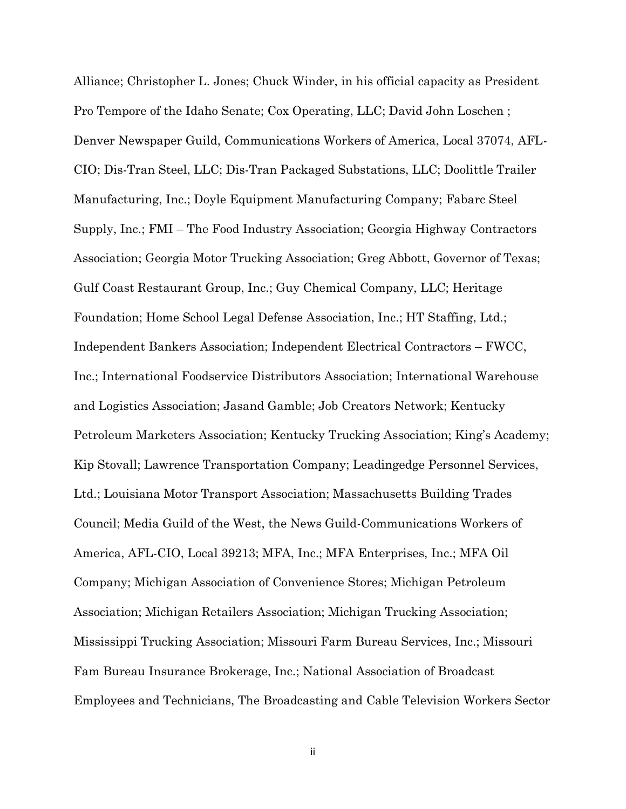Alliance; Christopher L. Jones; Chuck Winder, in his official capacity as President Pro Tempore of the Idaho Senate; Cox Operating, LLC; David John Loschen ; Denver Newspaper Guild, Communications Workers of America, Local 37074, AFL-CIO; Dis-Tran Steel, LLC; Dis-Tran Packaged Substations, LLC; Doolittle Trailer Manufacturing, Inc.; Doyle Equipment Manufacturing Company; Fabarc Steel Supply, Inc.; FMI – The Food Industry Association; Georgia Highway Contractors Association; Georgia Motor Trucking Association; Greg Abbott, Governor of Texas; Gulf Coast Restaurant Group, Inc.; Guy Chemical Company, LLC; Heritage Foundation; Home School Legal Defense Association, Inc.; HT Staffing, Ltd.; Independent Bankers Association; Independent Electrical Contractors – FWCC, Inc.; International Foodservice Distributors Association; International Warehouse and Logistics Association; Jasand Gamble; Job Creators Network; Kentucky Petroleum Marketers Association; Kentucky Trucking Association; King's Academy; Kip Stovall; Lawrence Transportation Company; Leadingedge Personnel Services, Ltd.; Louisiana Motor Transport Association; Massachusetts Building Trades Council; Media Guild of the West, the News Guild-Communications Workers of America, AFL-CIO, Local 39213; MFA, Inc.; MFA Enterprises, Inc.; MFA Oil Company; Michigan Association of Convenience Stores; Michigan Petroleum Association; Michigan Retailers Association; Michigan Trucking Association; Mississippi Trucking Association; Missouri Farm Bureau Services, Inc.; Missouri Fam Bureau Insurance Brokerage, Inc.; National Association of Broadcast Employees and Technicians, The Broadcasting and Cable Television Workers Sector

ii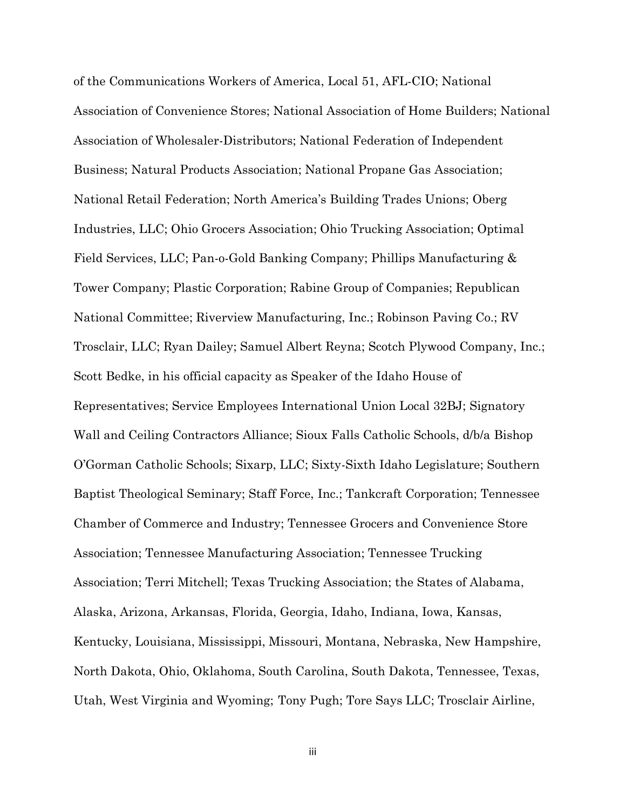of the Communications Workers of America, Local 51, AFL-CIO; National Association of Convenience Stores; National Association of Home Builders; National Association of Wholesaler-Distributors; National Federation of Independent Business; Natural Products Association; National Propane Gas Association; National Retail Federation; North America's Building Trades Unions; Oberg Industries, LLC; Ohio Grocers Association; Ohio Trucking Association; Optimal Field Services, LLC; Pan-o-Gold Banking Company; Phillips Manufacturing & Tower Company; Plastic Corporation; Rabine Group of Companies; Republican National Committee; Riverview Manufacturing, Inc.; Robinson Paving Co.; RV Trosclair, LLC; Ryan Dailey; Samuel Albert Reyna; Scotch Plywood Company, Inc.; Scott Bedke, in his official capacity as Speaker of the Idaho House of Representatives; Service Employees International Union Local 32BJ; Signatory Wall and Ceiling Contractors Alliance; Sioux Falls Catholic Schools, d/b/a Bishop O'Gorman Catholic Schools; Sixarp, LLC; Sixty-Sixth Idaho Legislature; Southern Baptist Theological Seminary; Staff Force, Inc.; Tankcraft Corporation; Tennessee Chamber of Commerce and Industry; Tennessee Grocers and Convenience Store Association; Tennessee Manufacturing Association; Tennessee Trucking Association; Terri Mitchell; Texas Trucking Association; the States of Alabama, Alaska, Arizona, Arkansas, Florida, Georgia, Idaho, Indiana, Iowa, Kansas, Kentucky, Louisiana, Mississippi, Missouri, Montana, Nebraska, New Hampshire, North Dakota, Ohio, Oklahoma, South Carolina, South Dakota, Tennessee, Texas, Utah, West Virginia and Wyoming; Tony Pugh; Tore Says LLC; Trosclair Airline,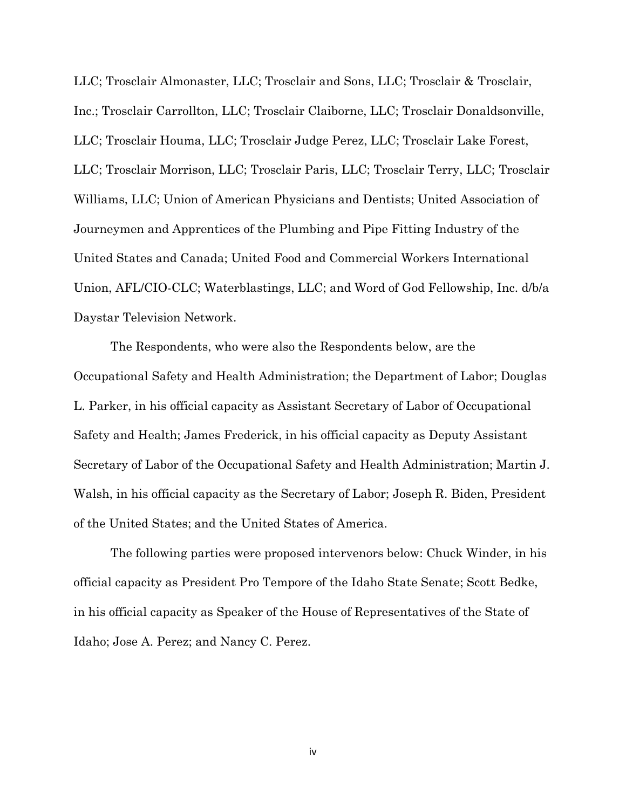LLC; Trosclair Almonaster, LLC; Trosclair and Sons, LLC; Trosclair & Trosclair, Inc.; Trosclair Carrollton, LLC; Trosclair Claiborne, LLC; Trosclair Donaldsonville, LLC; Trosclair Houma, LLC; Trosclair Judge Perez, LLC; Trosclair Lake Forest, LLC; Trosclair Morrison, LLC; Trosclair Paris, LLC; Trosclair Terry, LLC; Trosclair Williams, LLC; Union of American Physicians and Dentists; United Association of Journeymen and Apprentices of the Plumbing and Pipe Fitting Industry of the United States and Canada; United Food and Commercial Workers International Union, AFL/CIO-CLC; Waterblastings, LLC; and Word of God Fellowship, Inc. d/b/a Daystar Television Network.

The Respondents, who were also the Respondents below, are the Occupational Safety and Health Administration; the Department of Labor; Douglas L. Parker, in his official capacity as Assistant Secretary of Labor of Occupational Safety and Health; James Frederick, in his official capacity as Deputy Assistant Secretary of Labor of the Occupational Safety and Health Administration; Martin J. Walsh, in his official capacity as the Secretary of Labor; Joseph R. Biden, President of the United States; and the United States of America.

The following parties were proposed intervenors below: Chuck Winder, in his official capacity as President Pro Tempore of the Idaho State Senate; Scott Bedke, in his official capacity as Speaker of the House of Representatives of the State of Idaho; Jose A. Perez; and Nancy C. Perez.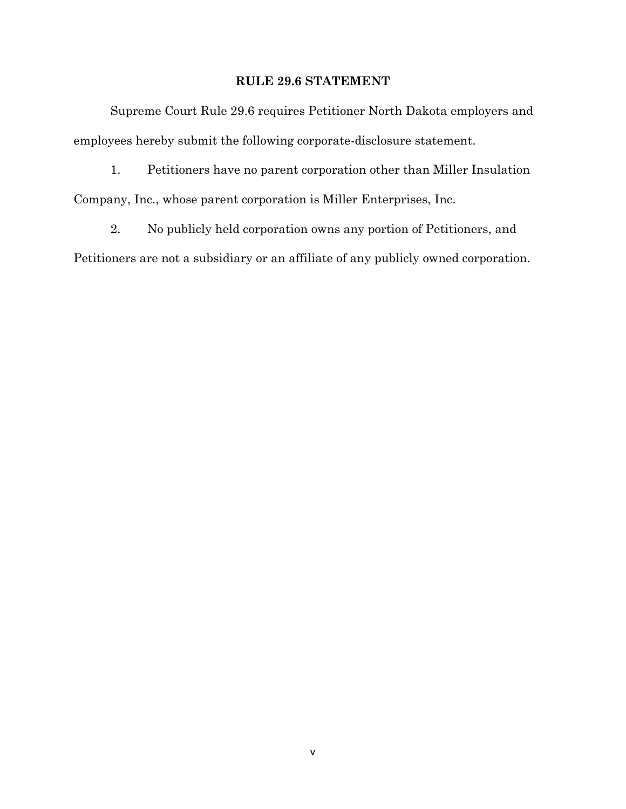#### **RULE 29.6 STATEMENT**

Supreme Court Rule 29.6 requires Petitioner North Dakota employers and employees hereby submit the following corporate-disclosure statement.

1. Petitioners have no parent corporation other than Miller Insulation Company, Inc., whose parent corporation is Miller Enterprises, Inc.

2. No publicly held corporation owns any portion of Petitioners, and Petitioners are not a subsidiary or an affiliate of any publicly owned corporation.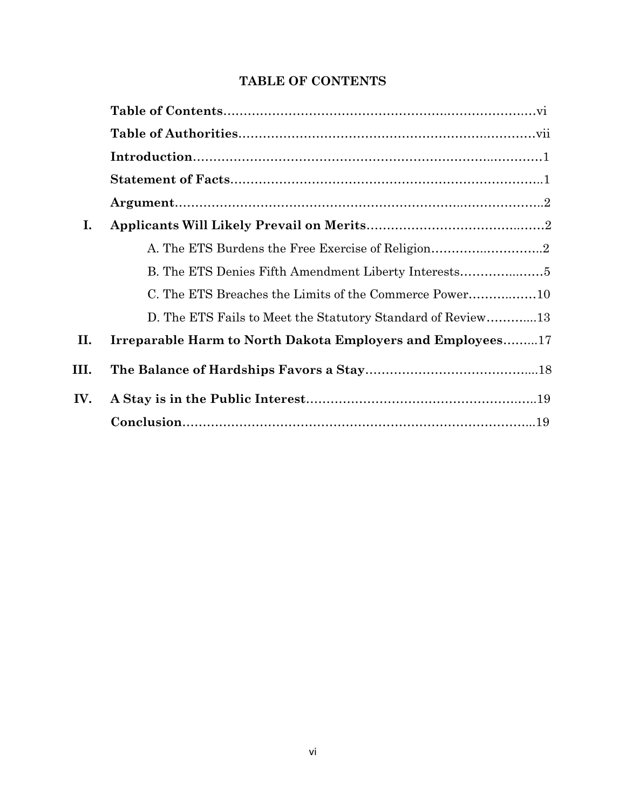# **TABLE OF CONTENTS**

| I.   |                                                             |
|------|-------------------------------------------------------------|
|      |                                                             |
|      | B. The ETS Denies Fifth Amendment Liberty Interests         |
|      |                                                             |
|      | D. The ETS Fails to Meet the Statutory Standard of Review13 |
| II.  | Irreparable Harm to North Dakota Employers and Employees17  |
| III. |                                                             |
| IV.  |                                                             |
|      |                                                             |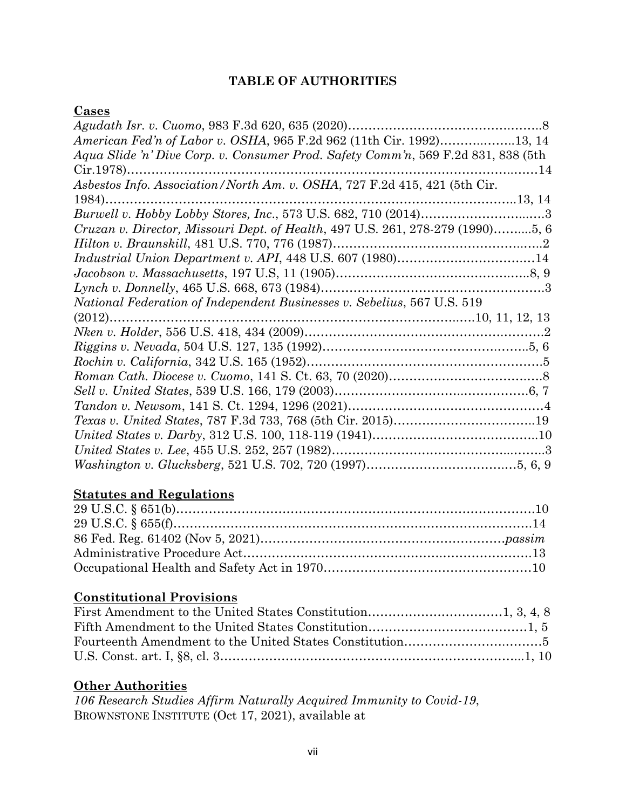# **TABLE OF AUTHORITIES**

### **Cases**

| American Fed'n of Labor v. OSHA, 965 F.2d 962 (11th Cir. 1992)13, 14              |  |
|-----------------------------------------------------------------------------------|--|
| Aqua Slide 'n' Dive Corp. v. Consumer Prod. Safety Comm'n, 569 F.2d 831, 838 (5th |  |
| $Cir.1978$<br>14                                                                  |  |
| Asbestos Info. Association/North Am. v. OSHA, 727 F.2d 415, 421 (5th Cir.         |  |
| 1984)                                                                             |  |
|                                                                                   |  |
| Cruzan v. Director, Missouri Dept. of Health, 497 U.S. 261, 278-279 (1990)5, 6    |  |
|                                                                                   |  |
|                                                                                   |  |
|                                                                                   |  |
|                                                                                   |  |
| National Federation of Independent Businesses v. Sebelius, 567 U.S. 519           |  |
| $(2012)$                                                                          |  |
|                                                                                   |  |
|                                                                                   |  |
|                                                                                   |  |
|                                                                                   |  |
|                                                                                   |  |
|                                                                                   |  |
|                                                                                   |  |
|                                                                                   |  |
|                                                                                   |  |
|                                                                                   |  |

# **Statutes and Regulations**

# **Constitutional Provisions**

## **Other Authorities**

*106 Research Studies Affirm Naturally Acquired Immunity to Covid-19*, BROWNSTONE INSTITUTE (Oct 17, 2021), available at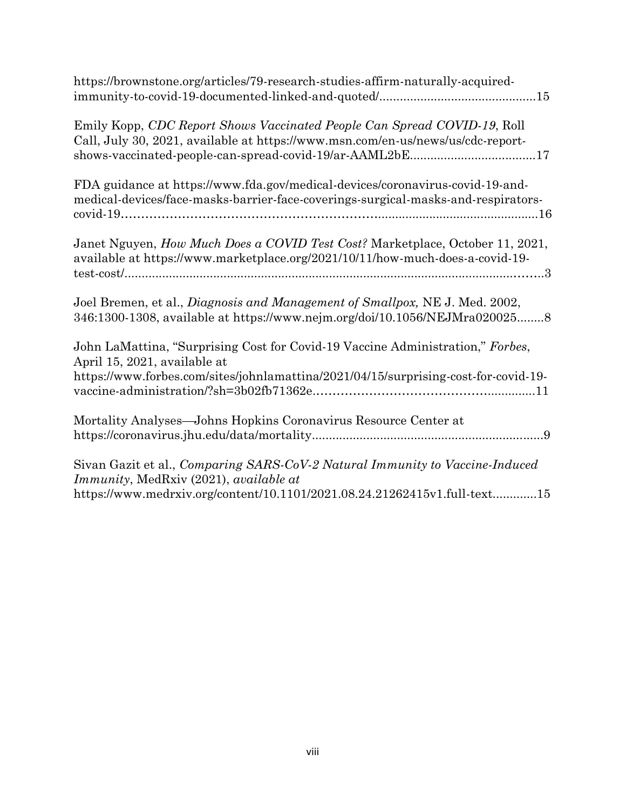| https://brownstone.org/articles/79-research-studies-affirm-naturally-acquired-                                                                                                                                          |
|-------------------------------------------------------------------------------------------------------------------------------------------------------------------------------------------------------------------------|
| Emily Kopp, CDC Report Shows Vaccinated People Can Spread COVID-19, Roll<br>Call, July 30, 2021, available at https://www.msn.com/en-us/news/us/cdc-report-<br>shows-vaccinated-people-can-spread-covid-19/ar-AAML2bE17 |
| FDA guidance at https://www.fda.gov/medical-devices/coronavirus-covid-19-and-<br>medical-devices/face-masks-barrier-face-coverings-surgical-masks-and-respirators-                                                      |
| Janet Nguyen, How Much Does a COVID Test Cost? Marketplace, October 11, 2021,<br>available at https://www.marketplace.org/2021/10/11/how-much-does-a-covid-19-                                                          |
| Joel Bremen, et al., Diagnosis and Management of Smallpox, NE J. Med. 2002,<br>346:1300-1308, available at https://www.nejm.org/doi/10.1056/NEJMra0200258                                                               |
| John LaMattina, "Surprising Cost for Covid-19 Vaccine Administration," Forbes,<br>April 15, 2021, available at<br>https://www.forbes.com/sites/johnlamattina/2021/04/15/surprising-cost-for-covid-19-                   |
| Mortality Analyses-Johns Hopkins Coronavirus Resource Center at                                                                                                                                                         |
| Sivan Gazit et al., Comparing SARS-CoV-2 Natural Immunity to Vaccine-Induced<br>Immunity, MedRxiv (2021), available at                                                                                                  |
| https://www.medrxiv.org/content/10.1101/2021.08.24.21262415v1.full-text15                                                                                                                                               |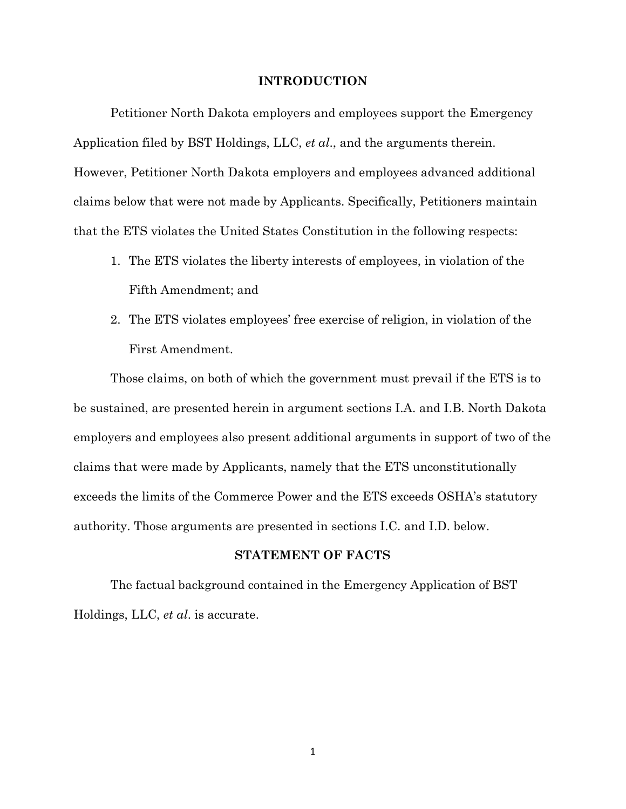#### **INTRODUCTION**

Petitioner North Dakota employers and employees support the Emergency Application filed by BST Holdings, LLC, *et al*., and the arguments therein. However, Petitioner North Dakota employers and employees advanced additional claims below that were not made by Applicants. Specifically, Petitioners maintain that the ETS violates the United States Constitution in the following respects:

- 1. The ETS violates the liberty interests of employees, in violation of the Fifth Amendment; and
- 2. The ETS violates employees' free exercise of religion, in violation of the First Amendment.

Those claims, on both of which the government must prevail if the ETS is to be sustained, are presented herein in argument sections I.A. and I.B. North Dakota employers and employees also present additional arguments in support of two of the claims that were made by Applicants, namely that the ETS unconstitutionally exceeds the limits of the Commerce Power and the ETS exceeds OSHA's statutory authority. Those arguments are presented in sections I.C. and I.D. below.

#### **STATEMENT OF FACTS**

The factual background contained in the Emergency Application of BST Holdings, LLC, *et al*. is accurate.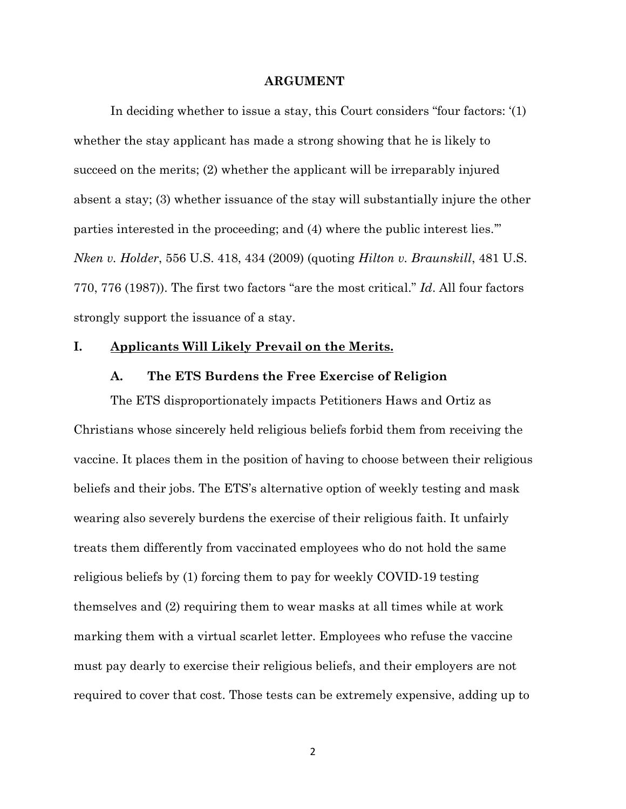#### **ARGUMENT**

In deciding whether to issue a stay, this Court considers "four factors: '(1) whether the stay applicant has made a strong showing that he is likely to succeed on the merits; (2) whether the applicant will be irreparably injured absent a stay; (3) whether issuance of the stay will substantially injure the other parties interested in the proceeding; and (4) where the public interest lies.'" *Nken v. Holder*, 556 U.S. 418, 434 (2009) (quoting *Hilton v. Braunskill*, 481 U.S. 770, 776 (1987)). The first two factors "are the most critical." *Id*. All four factors strongly support the issuance of a stay.

#### **I. Applicants Will Likely Prevail on the Merits.**

#### **A. The ETS Burdens the Free Exercise of Religion**

The ETS disproportionately impacts Petitioners Haws and Ortiz as Christians whose sincerely held religious beliefs forbid them from receiving the vaccine. It places them in the position of having to choose between their religious beliefs and their jobs. The ETS's alternative option of weekly testing and mask wearing also severely burdens the exercise of their religious faith. It unfairly treats them differently from vaccinated employees who do not hold the same religious beliefs by (1) forcing them to pay for weekly COVID-19 testing themselves and (2) requiring them to wear masks at all times while at work marking them with a virtual scarlet letter. Employees who refuse the vaccine must pay dearly to exercise their religious beliefs, and their employers are not required to cover that cost. Those tests can be extremely expensive, adding up to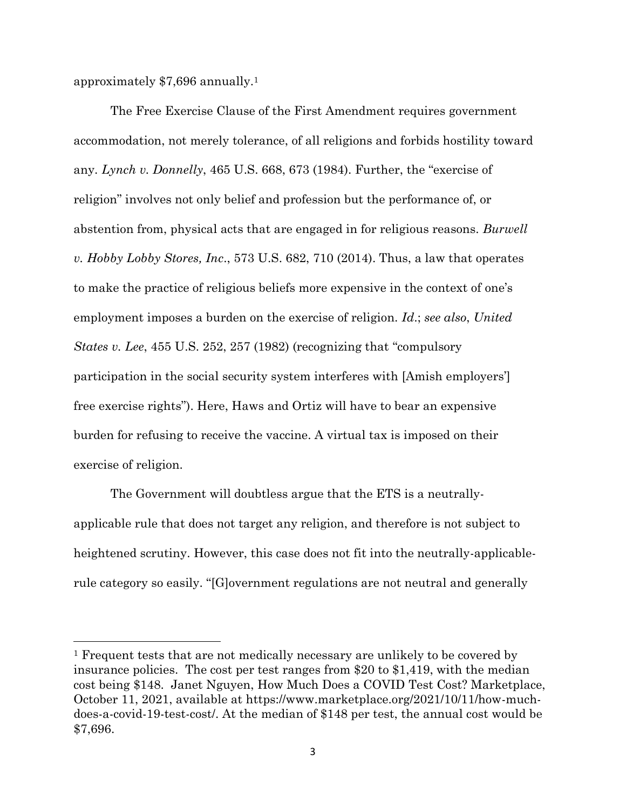approximately \$7,696 annually.<sup>1</sup>

The Free Exercise Clause of the First Amendment requires government accommodation, not merely tolerance, of all religions and forbids hostility toward any. *Lynch v. Donnelly*, 465 U.S. 668, 673 (1984). Further, the "exercise of religion" involves not only belief and profession but the performance of, or abstention from, physical acts that are engaged in for religious reasons. *Burwell v. Hobby Lobby Stores, Inc*., 573 U.S. 682, 710 (2014). Thus, a law that operates to make the practice of religious beliefs more expensive in the context of one's employment imposes a burden on the exercise of religion. *Id*.; *see also*, *United States v. Lee*, 455 U.S. 252, 257 (1982) (recognizing that "compulsory participation in the social security system interferes with [Amish employers'] free exercise rights"). Here, Haws and Ortiz will have to bear an expensive burden for refusing to receive the vaccine. A virtual tax is imposed on their exercise of religion.

The Government will doubtless argue that the ETS is a neutrallyapplicable rule that does not target any religion, and therefore is not subject to heightened scrutiny. However, this case does not fit into the neutrally-applicablerule category so easily. "[G]overnment regulations are not neutral and generally

<sup>1</sup> Frequent tests that are not medically necessary are unlikely to be covered by insurance policies. The cost per test ranges from \$20 to \$1,419, with the median cost being \$148. Janet Nguyen, How Much Does a COVID Test Cost? Marketplace, October 11, 2021, available at https://www.marketplace.org/2021/10/11/how-muchdoes-a-covid-19-test-cost/. At the median of \$148 per test, the annual cost would be \$7,696.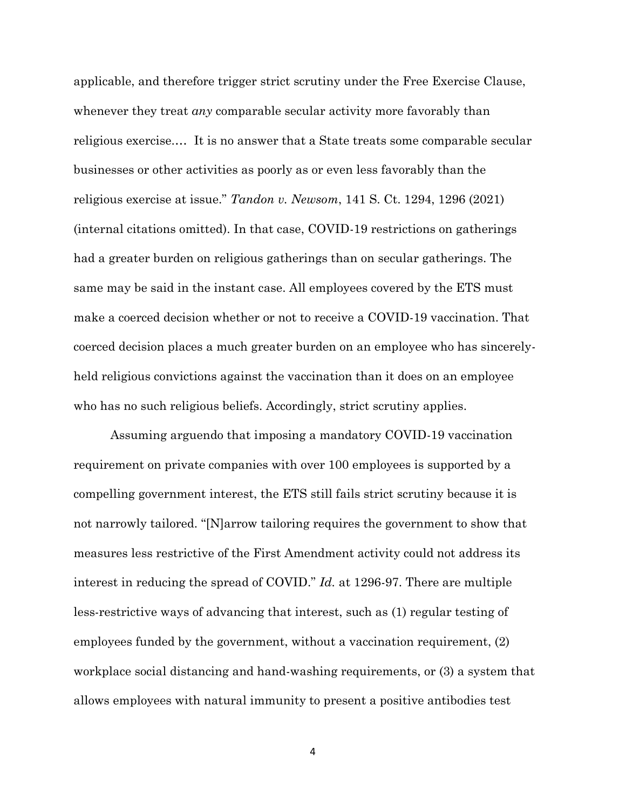applicable, and therefore trigger strict scrutiny under the Free Exercise Clause, whenever they treat *any* comparable secular activity more favorably than religious exercise.… It is no answer that a State treats some comparable secular businesses or other activities as poorly as or even less favorably than the religious exercise at issue." *Tandon v. Newsom*, 141 S. Ct. 1294, 1296 (2021) (internal citations omitted). In that case, COVID-19 restrictions on gatherings had a greater burden on religious gatherings than on secular gatherings. The same may be said in the instant case. All employees covered by the ETS must make a coerced decision whether or not to receive a COVID-19 vaccination. That coerced decision places a much greater burden on an employee who has sincerelyheld religious convictions against the vaccination than it does on an employee who has no such religious beliefs. Accordingly, strict scrutiny applies.

Assuming arguendo that imposing a mandatory COVID-19 vaccination requirement on private companies with over 100 employees is supported by a compelling government interest, the ETS still fails strict scrutiny because it is not narrowly tailored. "[N]arrow tailoring requires the government to show that measures less restrictive of the First Amendment activity could not address its interest in reducing the spread of COVID." *Id.* at 1296-97. There are multiple less-restrictive ways of advancing that interest, such as (1) regular testing of employees funded by the government, without a vaccination requirement, (2) workplace social distancing and hand-washing requirements, or (3) a system that allows employees with natural immunity to present a positive antibodies test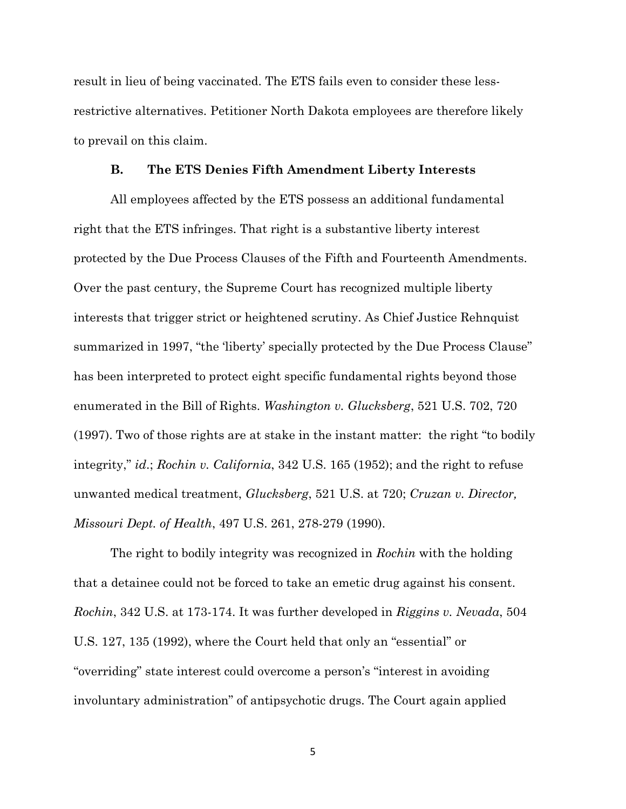result in lieu of being vaccinated. The ETS fails even to consider these lessrestrictive alternatives. Petitioner North Dakota employees are therefore likely to prevail on this claim.

#### **B. The ETS Denies Fifth Amendment Liberty Interests**

All employees affected by the ETS possess an additional fundamental right that the ETS infringes. That right is a substantive liberty interest protected by the Due Process Clauses of the Fifth and Fourteenth Amendments. Over the past century, the Supreme Court has recognized multiple liberty interests that trigger strict or heightened scrutiny. As Chief Justice Rehnquist summarized in 1997, "the 'liberty' specially protected by the Due Process Clause" has been interpreted to protect eight specific fundamental rights beyond those enumerated in the Bill of Rights. *Washington v. Glucksberg*, 521 U.S. 702, 720 (1997). Two of those rights are at stake in the instant matter: the right "to bodily integrity," *id*.; *Rochin v. California*, 342 U.S. 165 (1952); and the right to refuse unwanted medical treatment, *Glucksberg*, 521 U.S. at 720; *Cruzan v. Director, Missouri Dept. of Health*, 497 U.S. 261, 278-279 (1990).

The right to bodily integrity was recognized in *Rochin* with the holding that a detainee could not be forced to take an emetic drug against his consent. *Rochin*, 342 U.S. at 173-174. It was further developed in *Riggins v. Nevada*, 504 U.S. 127, 135 (1992), where the Court held that only an "essential" or "overriding" state interest could overcome a person's "interest in avoiding involuntary administration" of antipsychotic drugs. The Court again applied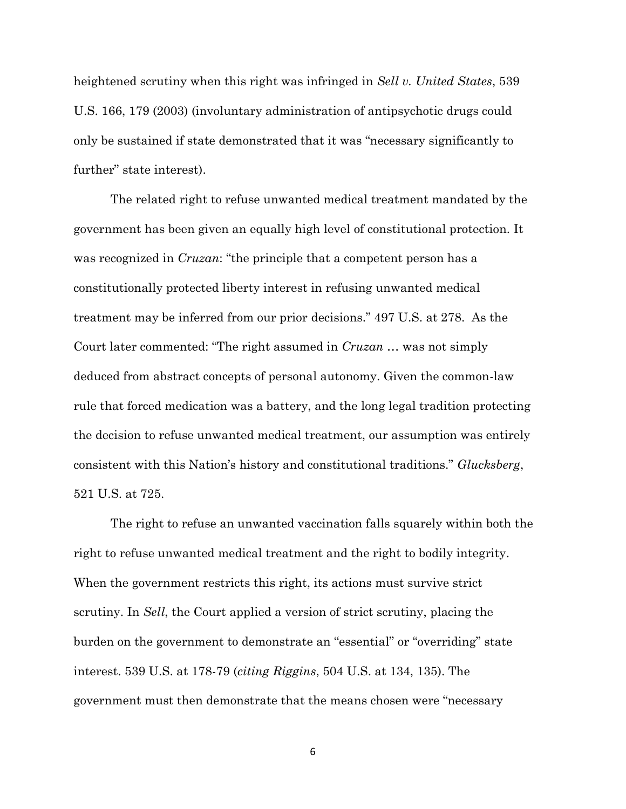heightened scrutiny when this right was infringed in *Sell v. United States*, 539 U.S. 166, 179 (2003) (involuntary administration of antipsychotic drugs could only be sustained if state demonstrated that it was "necessary significantly to further" state interest).

The related right to refuse unwanted medical treatment mandated by the government has been given an equally high level of constitutional protection. It was recognized in *Cruzan*: "the principle that a competent person has a constitutionally protected liberty interest in refusing unwanted medical treatment may be inferred from our prior decisions." 497 U.S. at 278. As the Court later commented: "The right assumed in *Cruzan* … was not simply deduced from abstract concepts of personal autonomy. Given the common-law rule that forced medication was a battery, and the long legal tradition protecting the decision to refuse unwanted medical treatment, our assumption was entirely consistent with this Nation's history and constitutional traditions." *Glucksberg*, 521 U.S. at 725.

The right to refuse an unwanted vaccination falls squarely within both the right to refuse unwanted medical treatment and the right to bodily integrity. When the government restricts this right, its actions must survive strict scrutiny. In *Sell*, the Court applied a version of strict scrutiny, placing the burden on the government to demonstrate an "essential" or "overriding" state interest. 539 U.S. at 178-79 (*citing Riggins*, 504 U.S. at 134, 135). The government must then demonstrate that the means chosen were "necessary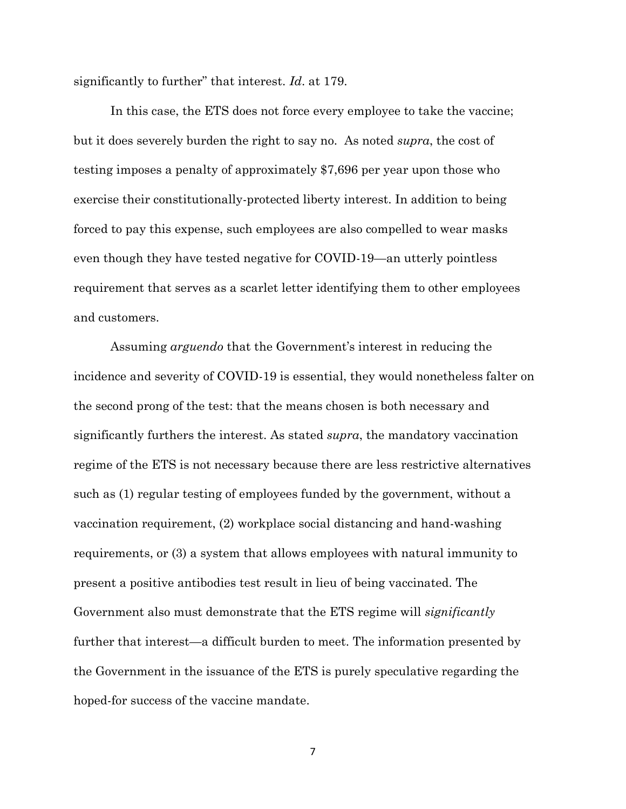significantly to further" that interest. *Id*. at 179.

In this case, the ETS does not force every employee to take the vaccine; but it does severely burden the right to say no. As noted *supra*, the cost of testing imposes a penalty of approximately \$7,696 per year upon those who exercise their constitutionally-protected liberty interest. In addition to being forced to pay this expense, such employees are also compelled to wear masks even though they have tested negative for COVID-19—an utterly pointless requirement that serves as a scarlet letter identifying them to other employees and customers.

Assuming *arguendo* that the Government's interest in reducing the incidence and severity of COVID-19 is essential, they would nonetheless falter on the second prong of the test: that the means chosen is both necessary and significantly furthers the interest. As stated *supra*, the mandatory vaccination regime of the ETS is not necessary because there are less restrictive alternatives such as (1) regular testing of employees funded by the government, without a vaccination requirement, (2) workplace social distancing and hand-washing requirements, or (3) a system that allows employees with natural immunity to present a positive antibodies test result in lieu of being vaccinated. The Government also must demonstrate that the ETS regime will *significantly* further that interest—a difficult burden to meet. The information presented by the Government in the issuance of the ETS is purely speculative regarding the hoped-for success of the vaccine mandate.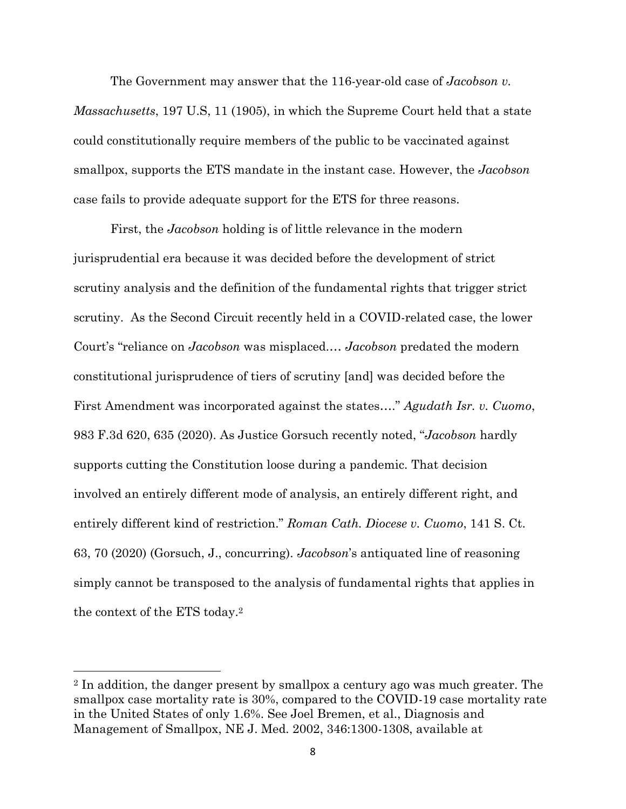The Government may answer that the 116-year-old case of *Jacobson v. Massachusetts*, 197 U.S, 11 (1905), in which the Supreme Court held that a state could constitutionally require members of the public to be vaccinated against smallpox, supports the ETS mandate in the instant case. However, the *Jacobson* case fails to provide adequate support for the ETS for three reasons.

First, the *Jacobson* holding is of little relevance in the modern jurisprudential era because it was decided before the development of strict scrutiny analysis and the definition of the fundamental rights that trigger strict scrutiny. As the Second Circuit recently held in a COVID-related case, the lower Court's "reliance on *Jacobson* was misplaced.… *Jacobson* predated the modern constitutional jurisprudence of tiers of scrutiny [and] was decided before the First Amendment was incorporated against the states…." *Agudath Isr. v. Cuomo*, 983 F.3d 620, 635 (2020). As Justice Gorsuch recently noted, "*Jacobson* hardly supports cutting the Constitution loose during a pandemic. That decision involved an entirely different mode of analysis, an entirely different right, and entirely different kind of restriction." *Roman Cath. Diocese v. Cuomo*, 141 S. Ct. 63, 70 (2020) (Gorsuch, J., concurring). *Jacobson*'s antiquated line of reasoning simply cannot be transposed to the analysis of fundamental rights that applies in the context of the ETS today.<sup>2</sup>

<sup>2</sup> In addition, the danger present by smallpox a century ago was much greater. The smallpox case mortality rate is 30%, compared to the COVID-19 case mortality rate in the United States of only 1.6%. See Joel Bremen, et al., Diagnosis and Management of Smallpox, NE J. Med. 2002, 346:1300-1308, available at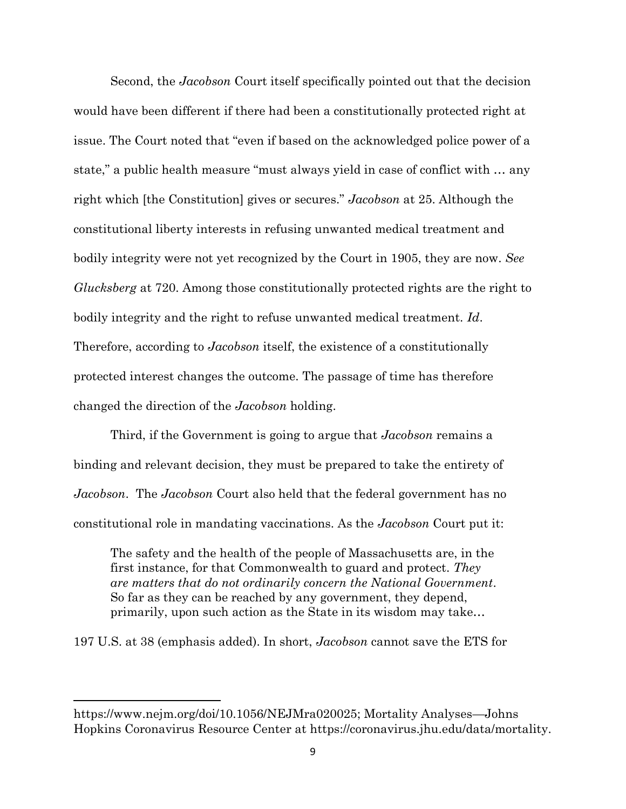Second, the *Jacobson* Court itself specifically pointed out that the decision would have been different if there had been a constitutionally protected right at issue. The Court noted that "even if based on the acknowledged police power of a state," a public health measure "must always yield in case of conflict with … any right which [the Constitution] gives or secures." *Jacobson* at 25. Although the constitutional liberty interests in refusing unwanted medical treatment and bodily integrity were not yet recognized by the Court in 1905, they are now. *See Glucksberg* at 720. Among those constitutionally protected rights are the right to bodily integrity and the right to refuse unwanted medical treatment. *Id*. Therefore, according to *Jacobson* itself, the existence of a constitutionally protected interest changes the outcome. The passage of time has therefore changed the direction of the *Jacobson* holding.

Third, if the Government is going to argue that *Jacobson* remains a binding and relevant decision, they must be prepared to take the entirety of *Jacobson*. The *Jacobson* Court also held that the federal government has no constitutional role in mandating vaccinations. As the *Jacobson* Court put it:

The safety and the health of the people of Massachusetts are, in the first instance, for that Commonwealth to guard and protect. *They are matters that do not ordinarily concern the National Government*. So far as they can be reached by any government, they depend, primarily, upon such action as the State in its wisdom may take…

197 U.S. at 38 (emphasis added). In short, *Jacobson* cannot save the ETS for

https://www.nejm.org/doi/10.1056/NEJMra020025; Mortality Analyses—Johns Hopkins Coronavirus Resource Center at https://coronavirus.jhu.edu/data/mortality.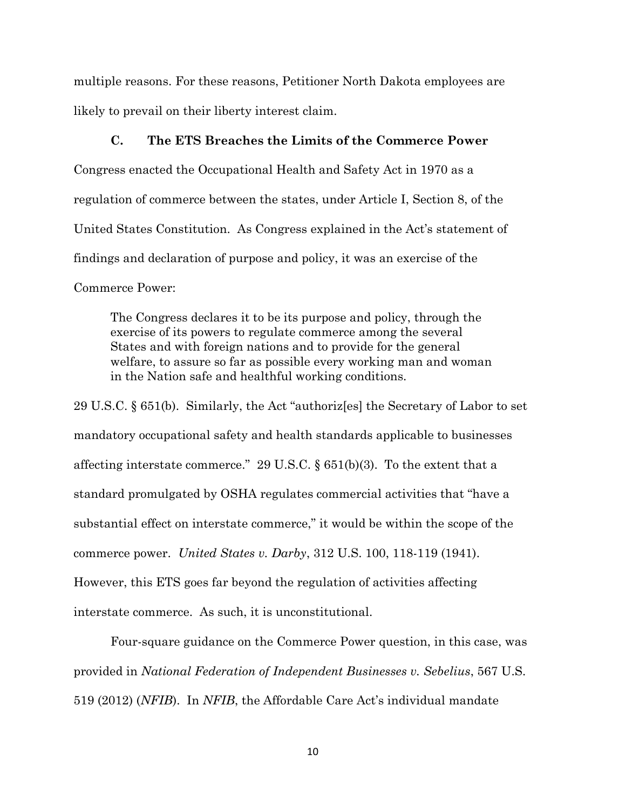multiple reasons. For these reasons, Petitioner North Dakota employees are likely to prevail on their liberty interest claim.

#### **C. The ETS Breaches the Limits of the Commerce Power**

Congress enacted the Occupational Health and Safety Act in 1970 as a regulation of commerce between the states, under Article I, Section 8, of the United States Constitution. As Congress explained in the Act's statement of findings and declaration of purpose and policy, it was an exercise of the Commerce Power:

The Congress declares it to be its purpose and policy, through the exercise of its powers to regulate commerce among the several States and with foreign nations and to provide for the general welfare, to assure so far as possible every working man and woman in the Nation safe and healthful working conditions.

29 U.S.C. § 651(b). Similarly, the Act "authoriz[es] the Secretary of Labor to set mandatory occupational safety and health standards applicable to businesses affecting interstate commerce." 29 U.S.C.  $\S 651(b)(3)$ . To the extent that a standard promulgated by OSHA regulates commercial activities that "have a substantial effect on interstate commerce," it would be within the scope of the commerce power. *United States v. Darby*, 312 U.S. 100, 118-119 (1941). However, this ETS goes far beyond the regulation of activities affecting interstate commerce. As such, it is unconstitutional.

Four-square guidance on the Commerce Power question, in this case, was provided in *National Federation of Independent Businesses v. Sebelius*, 567 U.S. 519 (2012) (*NFIB*). In *NFIB*, the Affordable Care Act's individual mandate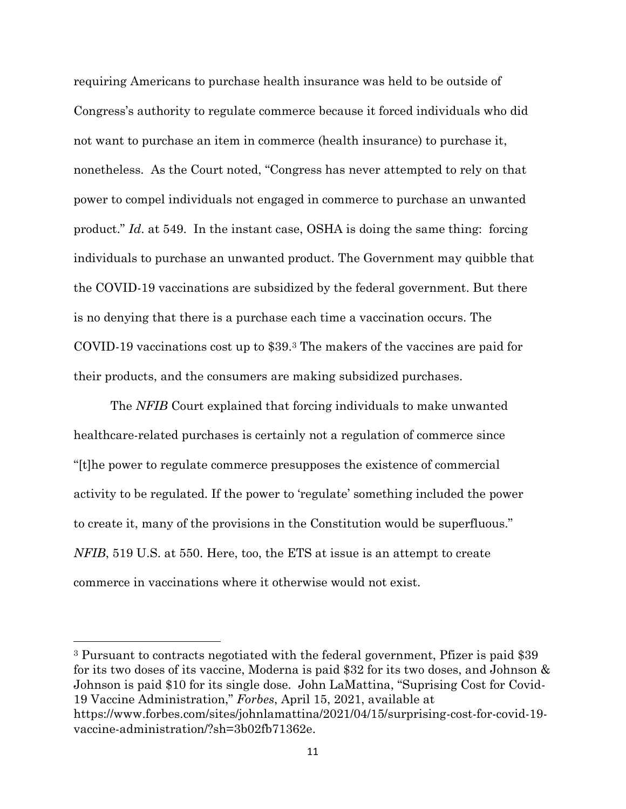requiring Americans to purchase health insurance was held to be outside of Congress's authority to regulate commerce because it forced individuals who did not want to purchase an item in commerce (health insurance) to purchase it, nonetheless. As the Court noted, "Congress has never attempted to rely on that power to compel individuals not engaged in commerce to purchase an unwanted product." *Id*. at 549. In the instant case, OSHA is doing the same thing: forcing individuals to purchase an unwanted product. The Government may quibble that the COVID-19 vaccinations are subsidized by the federal government. But there is no denying that there is a purchase each time a vaccination occurs. The COVID-19 vaccinations cost up to \$39.<sup>3</sup> The makers of the vaccines are paid for their products, and the consumers are making subsidized purchases.

The *NFIB* Court explained that forcing individuals to make unwanted healthcare-related purchases is certainly not a regulation of commerce since "[t]he power to regulate commerce presupposes the existence of commercial activity to be regulated. If the power to 'regulate' something included the power to create it, many of the provisions in the Constitution would be superfluous." *NFIB*, 519 U.S. at 550. Here, too, the ETS at issue is an attempt to create commerce in vaccinations where it otherwise would not exist.

<sup>3</sup> Pursuant to contracts negotiated with the federal government, Pfizer is paid \$39 for its two doses of its vaccine, Moderna is paid \$32 for its two doses, and Johnson & Johnson is paid \$10 for its single dose. John LaMattina, "Suprising Cost for Covid-19 Vaccine Administration," *Forbes*, April 15, 2021, available at https://www.forbes.com/sites/johnlamattina/2021/04/15/surprising-cost-for-covid-19 vaccine-administration/?sh=3b02fb71362e.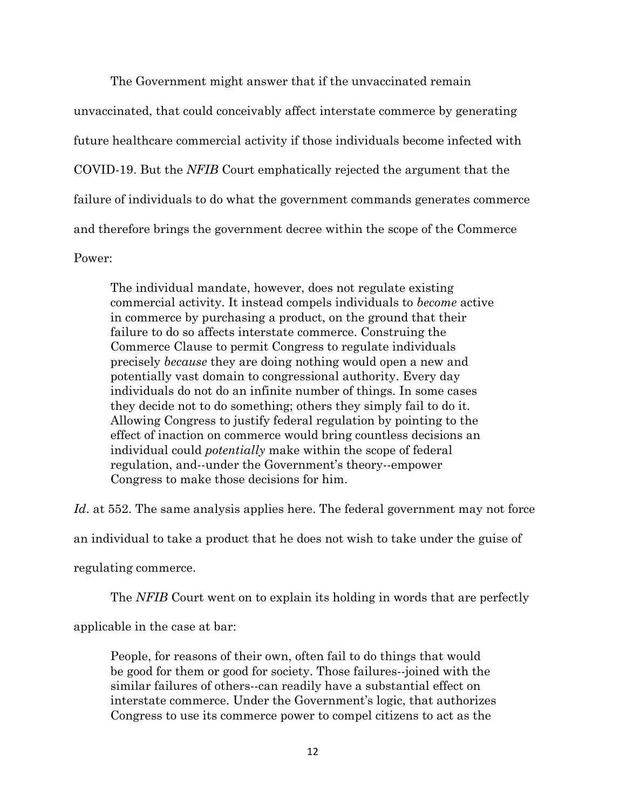The Government might answer that if the unvaccinated remain unvaccinated, that could conceivably affect interstate commerce by generating future healthcare commercial activity if those individuals become infected with COVID-19. But the *NFIB* Court emphatically rejected the argument that the failure of individuals to do what the government commands generates commerce and therefore brings the government decree within the scope of the Commerce Power:

The individual mandate, however, does not regulate existing commercial activity. It instead compels individuals to *become* active in commerce by purchasing a product, on the ground that their failure to do so affects interstate commerce. Construing the Commerce Clause to permit Congress to regulate individuals precisely *because* they are doing nothing would open a new and potentially vast domain to congressional authority. Every day individuals do not do an infinite number of things. In some cases they decide not to do something; others they simply fail to do it. Allowing Congress to justify federal regulation by pointing to the effect of inaction on commerce would bring countless decisions an individual could *potentially* make within the scope of federal regulation, and--under the Government's theory--empower Congress to make those decisions for him.

*Id*. at 552. The same analysis applies here. The federal government may not force

an individual to take a product that he does not wish to take under the guise of

regulating commerce.

The *NFIB* Court went on to explain its holding in words that are perfectly

applicable in the case at bar:

People, for reasons of their own, often fail to do things that would be good for them or good for society. Those failures--joined with the similar failures of others--can readily have a substantial effect on interstate commerce. Under the Government's logic, that authorizes Congress to use its commerce power to compel citizens to act as the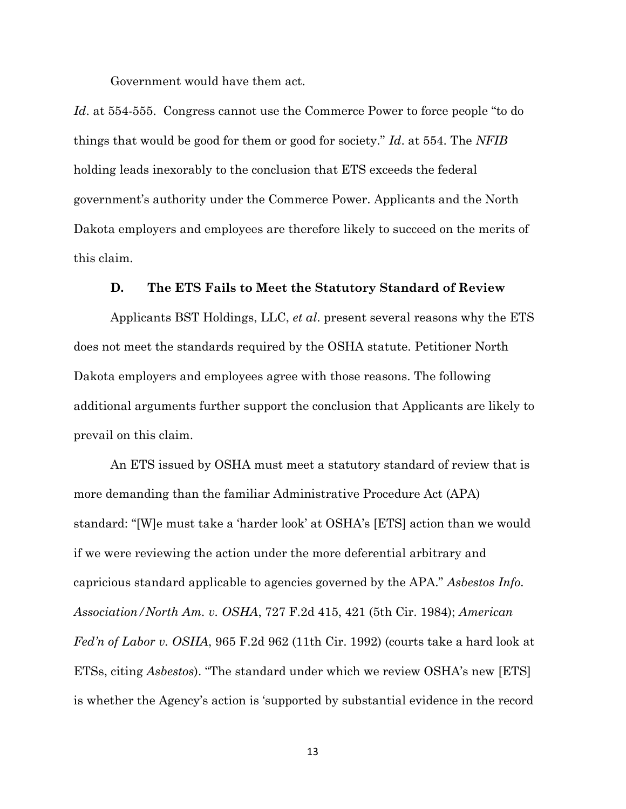Government would have them act.

*Id*. at 554-555. Congress cannot use the Commerce Power to force people "to do things that would be good for them or good for society." *Id*. at 554. The *NFIB* holding leads inexorably to the conclusion that ETS exceeds the federal government's authority under the Commerce Power. Applicants and the North Dakota employers and employees are therefore likely to succeed on the merits of this claim.

#### **D. The ETS Fails to Meet the Statutory Standard of Review**

Applicants BST Holdings, LLC, *et al*. present several reasons why the ETS does not meet the standards required by the OSHA statute. Petitioner North Dakota employers and employees agree with those reasons. The following additional arguments further support the conclusion that Applicants are likely to prevail on this claim.

An ETS issued by OSHA must meet a statutory standard of review that is more demanding than the familiar Administrative Procedure Act (APA) standard: "[W]e must take a 'harder look' at OSHA's [ETS] action than we would if we were reviewing the action under the more deferential arbitrary and capricious standard applicable to agencies governed by the APA." *Asbestos Info. Association/North Am. v. OSHA*, 727 F.2d 415, 421 (5th Cir. 1984); *American Fed'n of Labor v. OSHA*, 965 F.2d 962 (11th Cir. 1992) (courts take a hard look at ETSs, citing *Asbestos*). "The standard under which we review OSHA's new [ETS] is whether the Agency's action is 'supported by substantial evidence in the record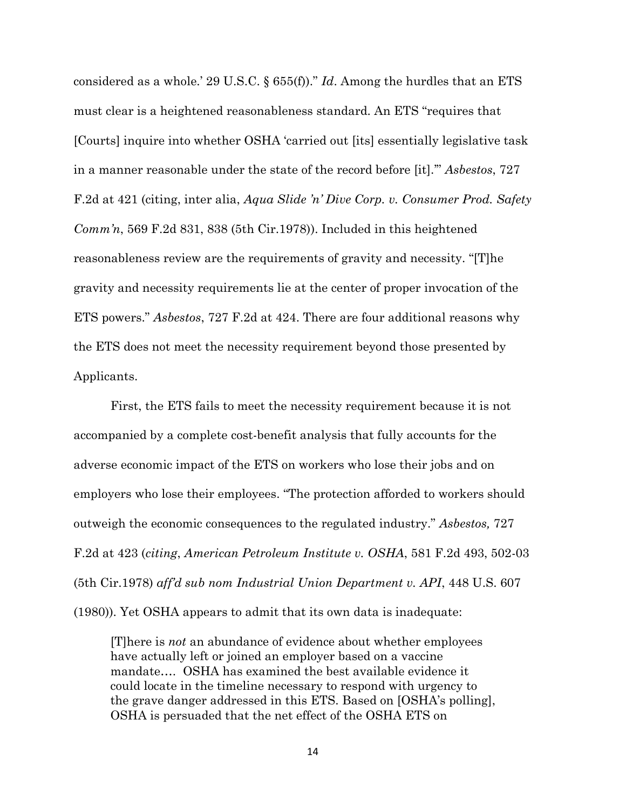considered as a whole.' 29 U.S.C. § 655(f))." *Id*. Among the hurdles that an ETS must clear is a heightened reasonableness standard. An ETS "requires that [Courts] inquire into whether OSHA 'carried out [its] essentially legislative task in a manner reasonable under the state of the record before [it].'" *Asbestos*, 727 F.2d at 421 (citing, inter alia, *Aqua Slide 'n' Dive Corp. v. Consumer Prod. Safety Comm'n*, 569 F.2d 831, 838 (5th Cir.1978)). Included in this heightened reasonableness review are the requirements of gravity and necessity. "[T]he gravity and necessity requirements lie at the center of proper invocation of the ETS powers." *Asbestos*, 727 F.2d at 424. There are four additional reasons why the ETS does not meet the necessity requirement beyond those presented by Applicants.

First, the ETS fails to meet the necessity requirement because it is not accompanied by a complete cost-benefit analysis that fully accounts for the adverse economic impact of the ETS on workers who lose their jobs and on employers who lose their employees. "The protection afforded to workers should outweigh the economic consequences to the regulated industry." *Asbestos,* 727 F.2d at 423 (*citing*, *American Petroleum Institute v. OSHA*, 581 F.2d 493, 502-03 (5th Cir.1978) *aff'd sub nom Industrial Union Department v. API*, 448 U.S. 607

[T]here is *not* an abundance of evidence about whether employees have actually left or joined an employer based on a vaccine mandate…. OSHA has examined the best available evidence it could locate in the timeline necessary to respond with urgency to the grave danger addressed in this ETS. Based on [OSHA's polling], OSHA is persuaded that the net effect of the OSHA ETS on

(1980)). Yet OSHA appears to admit that its own data is inadequate: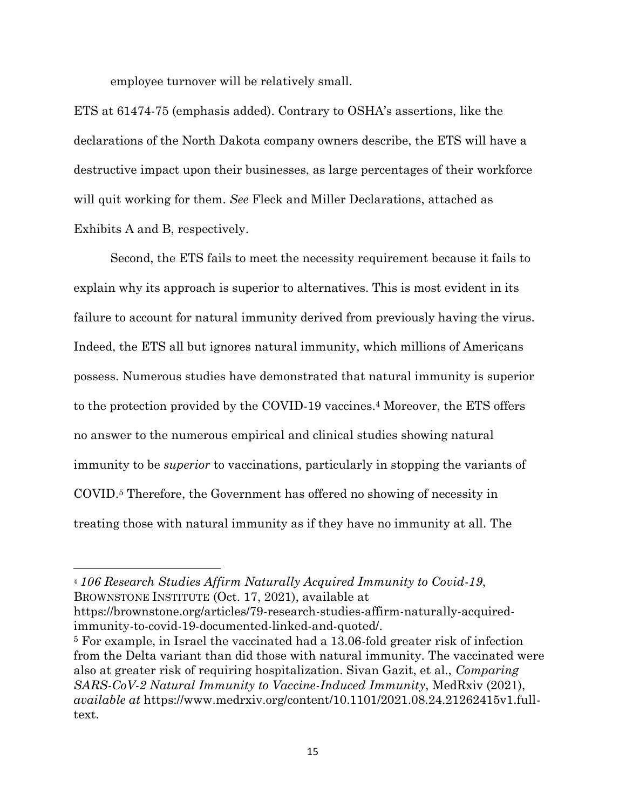employee turnover will be relatively small.

ETS at 61474-75 (emphasis added). Contrary to OSHA's assertions, like the declarations of the North Dakota company owners describe, the ETS will have a destructive impact upon their businesses, as large percentages of their workforce will quit working for them. *See* Fleck and Miller Declarations, attached as Exhibits A and B, respectively.

Second, the ETS fails to meet the necessity requirement because it fails to explain why its approach is superior to alternatives. This is most evident in its failure to account for natural immunity derived from previously having the virus. Indeed, the ETS all but ignores natural immunity, which millions of Americans possess. Numerous studies have demonstrated that natural immunity is superior to the protection provided by the COVID-19 vaccines.<sup>4</sup> Moreover, the ETS offers no answer to the numerous empirical and clinical studies showing natural immunity to be *superior* to vaccinations, particularly in stopping the variants of COVID.<sup>5</sup> Therefore, the Government has offered no showing of necessity in treating those with natural immunity as if they have no immunity at all. The

<sup>4</sup> *106 Research Studies Affirm Naturally Acquired Immunity to Covid-19*, BROWNSTONE INSTITUTE (Oct. 17, 2021), available at

https://brownstone.org/articles/79-research-studies-affirm-naturally-acquiredimmunity-to-covid-19-documented-linked-and-quoted/.

<sup>5</sup> For example, in Israel the vaccinated had a 13.06-fold greater risk of infection from the Delta variant than did those with natural immunity. The vaccinated were also at greater risk of requiring hospitalization. Sivan Gazit, et al., *Comparing SARS-CoV-2 Natural Immunity to Vaccine-Induced Immunity*, MedRxiv (2021), *available at* https://www.medrxiv.org/content/10.1101/2021.08.24.21262415v1.fulltext.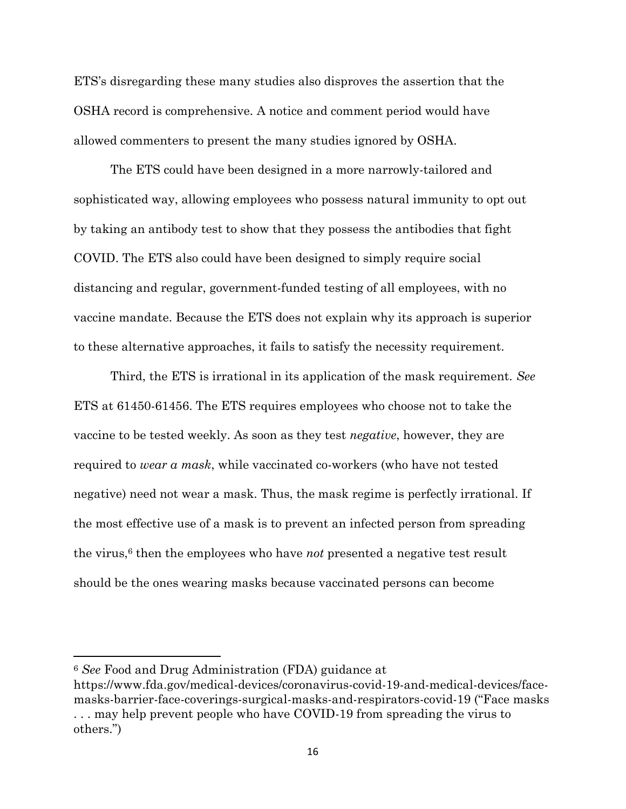ETS's disregarding these many studies also disproves the assertion that the OSHA record is comprehensive. A notice and comment period would have allowed commenters to present the many studies ignored by OSHA.

The ETS could have been designed in a more narrowly-tailored and sophisticated way, allowing employees who possess natural immunity to opt out by taking an antibody test to show that they possess the antibodies that fight COVID. The ETS also could have been designed to simply require social distancing and regular, government-funded testing of all employees, with no vaccine mandate. Because the ETS does not explain why its approach is superior to these alternative approaches, it fails to satisfy the necessity requirement.

Third, the ETS is irrational in its application of the mask requirement. *See* ETS at 61450-61456. The ETS requires employees who choose not to take the vaccine to be tested weekly. As soon as they test *negative*, however, they are required to *wear a mask*, while vaccinated co-workers (who have not tested negative) need not wear a mask. Thus, the mask regime is perfectly irrational. If the most effective use of a mask is to prevent an infected person from spreading the virus,<sup>6</sup> then the employees who have *not* presented a negative test result should be the ones wearing masks because vaccinated persons can become

<sup>6</sup> *See* Food and Drug Administration (FDA) guidance at

https://www.fda.gov/medical-devices/coronavirus-covid-19-and-medical-devices/facemasks-barrier-face-coverings-surgical-masks-and-respirators-covid-19 ("Face masks . . . may help prevent people who have COVID-19 from spreading the virus to others.")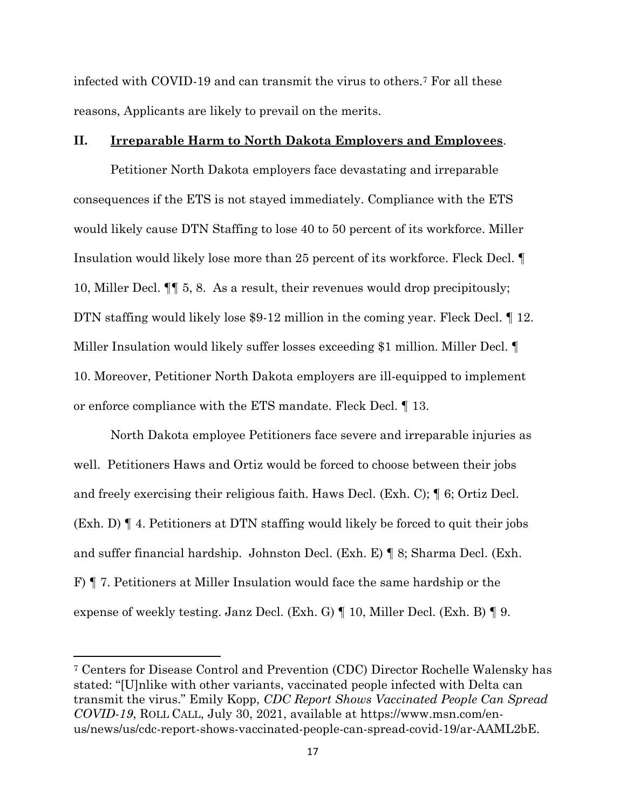infected with COVID-19 and can transmit the virus to others.<sup>7</sup> For all these reasons, Applicants are likely to prevail on the merits.

#### **II. Irreparable Harm to North Dakota Employers and Employees**.

Petitioner North Dakota employers face devastating and irreparable consequences if the ETS is not stayed immediately. Compliance with the ETS would likely cause DTN Staffing to lose 40 to 50 percent of its workforce. Miller Insulation would likely lose more than 25 percent of its workforce. Fleck Decl. ¶ 10, Miller Decl. ¶¶ 5, 8. As a result, their revenues would drop precipitously; DTN staffing would likely lose \$9-12 million in the coming year. Fleck Decl. 1 12. Miller Insulation would likely suffer losses exceeding \$1 million. Miller Decl. ¶ 10. Moreover, Petitioner North Dakota employers are ill-equipped to implement or enforce compliance with the ETS mandate. Fleck Decl. ¶ 13.

North Dakota employee Petitioners face severe and irreparable injuries as well. Petitioners Haws and Ortiz would be forced to choose between their jobs and freely exercising their religious faith. Haws Decl. (Exh. C); ¶ 6; Ortiz Decl. (Exh. D) ¶ 4. Petitioners at DTN staffing would likely be forced to quit their jobs and suffer financial hardship. Johnston Decl. (Exh. E) ¶ 8; Sharma Decl. (Exh. F) ¶ 7. Petitioners at Miller Insulation would face the same hardship or the expense of weekly testing. Janz Decl. (Exh. G) ¶ 10, Miller Decl. (Exh. B) ¶ 9.

<sup>7</sup> Centers for Disease Control and Prevention (CDC) Director Rochelle Walensky has stated: "[U]nlike with other variants, vaccinated people infected with Delta can transmit the virus." Emily Kopp, *CDC Report Shows Vaccinated People Can Spread COVID-19*, ROLL CALL, July 30, 2021, available at https://www.msn.com/enus/news/us/cdc-report-shows-vaccinated-people-can-spread-covid-19/ar-AAML2bE.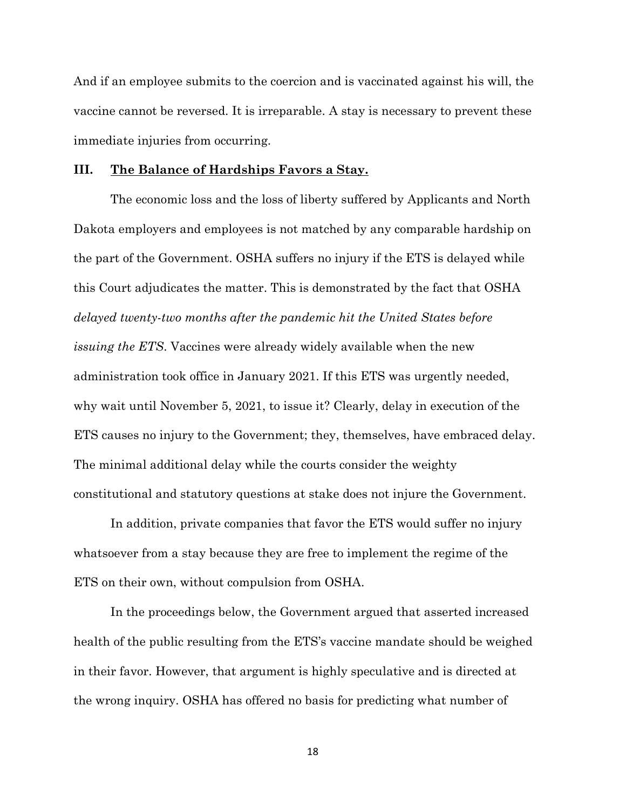And if an employee submits to the coercion and is vaccinated against his will, the vaccine cannot be reversed. It is irreparable. A stay is necessary to prevent these immediate injuries from occurring.

#### **III. The Balance of Hardships Favors a Stay.**

The economic loss and the loss of liberty suffered by Applicants and North Dakota employers and employees is not matched by any comparable hardship on the part of the Government. OSHA suffers no injury if the ETS is delayed while this Court adjudicates the matter. This is demonstrated by the fact that OSHA *delayed twenty-two months after the pandemic hit the United States before issuing the ETS*. Vaccines were already widely available when the new administration took office in January 2021. If this ETS was urgently needed, why wait until November 5, 2021, to issue it? Clearly, delay in execution of the ETS causes no injury to the Government; they, themselves, have embraced delay. The minimal additional delay while the courts consider the weighty constitutional and statutory questions at stake does not injure the Government.

In addition, private companies that favor the ETS would suffer no injury whatsoever from a stay because they are free to implement the regime of the ETS on their own, without compulsion from OSHA.

In the proceedings below, the Government argued that asserted increased health of the public resulting from the ETS's vaccine mandate should be weighed in their favor. However, that argument is highly speculative and is directed at the wrong inquiry. OSHA has offered no basis for predicting what number of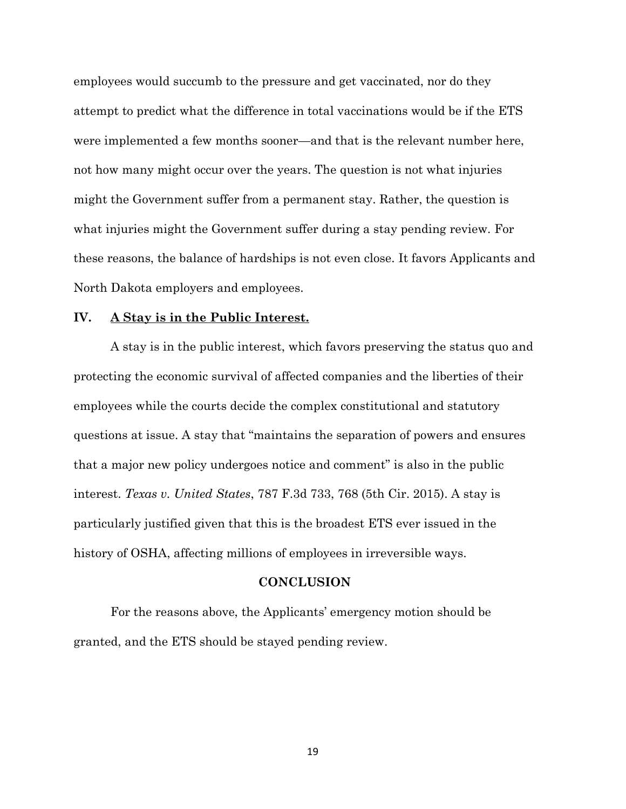employees would succumb to the pressure and get vaccinated, nor do they attempt to predict what the difference in total vaccinations would be if the ETS were implemented a few months sooner—and that is the relevant number here, not how many might occur over the years. The question is not what injuries might the Government suffer from a permanent stay. Rather, the question is what injuries might the Government suffer during a stay pending review. For these reasons, the balance of hardships is not even close. It favors Applicants and North Dakota employers and employees.

#### **IV. A Stay is in the Public Interest.**

A stay is in the public interest, which favors preserving the status quo and protecting the economic survival of affected companies and the liberties of their employees while the courts decide the complex constitutional and statutory questions at issue. A stay that "maintains the separation of powers and ensures that a major new policy undergoes notice and comment" is also in the public interest. *Texas v. United States*, 787 F.3d 733, 768 (5th Cir. 2015). A stay is particularly justified given that this is the broadest ETS ever issued in the history of OSHA, affecting millions of employees in irreversible ways.

#### **CONCLUSION**

For the reasons above, the Applicants' emergency motion should be granted, and the ETS should be stayed pending review.